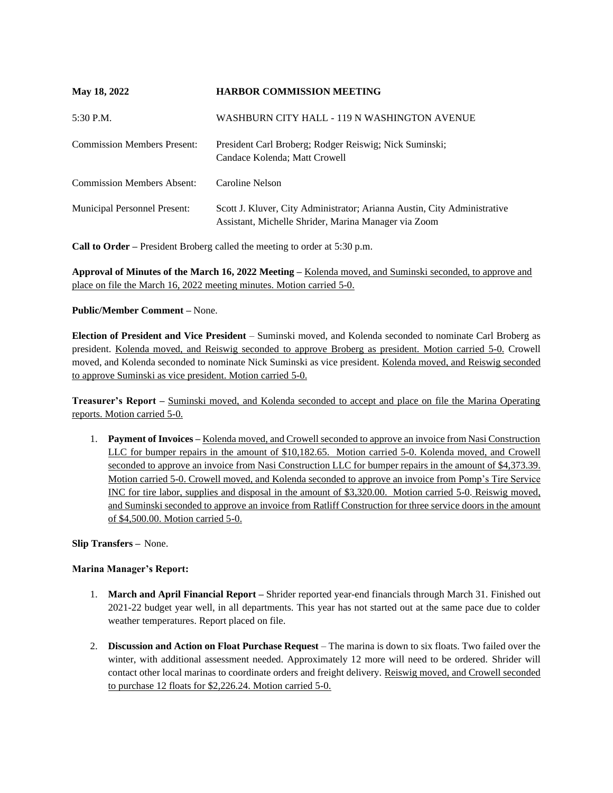| May 18, 2022                        | <b>HARBOR COMMISSION MEETING</b>                                                                                                 |
|-------------------------------------|----------------------------------------------------------------------------------------------------------------------------------|
| $5:30$ P.M.                         | WASHBURN CITY HALL - 119 N WASHINGTON AVENUE                                                                                     |
| <b>Commission Members Present:</b>  | President Carl Broberg; Rodger Reiswig; Nick Suminski;<br>Candace Kolenda; Matt Crowell                                          |
| <b>Commission Members Absent:</b>   | Caroline Nelson                                                                                                                  |
| <b>Municipal Personnel Present:</b> | Scott J. Kluver, City Administrator; Arianna Austin, City Administrative<br>Assistant, Michelle Shrider, Marina Manager via Zoom |

**Call to Order –** President Broberg called the meeting to order at 5:30 p.m.

**Approval of Minutes of the March 16, 2022 Meeting –** Kolenda moved, and Suminski seconded, to approve and place on file the March 16, 2022 meeting minutes. Motion carried 5-0.

## **Public/Member Comment –** None.

**Election of President and Vice President** – Suminski moved, and Kolenda seconded to nominate Carl Broberg as president. Kolenda moved, and Reiswig seconded to approve Broberg as president. Motion carried 5-0. Crowell moved, and Kolenda seconded to nominate Nick Suminski as vice president. Kolenda moved, and Reiswig seconded to approve Suminski as vice president. Motion carried 5-0.

**Treasurer's Report –** Suminski moved, and Kolenda seconded to accept and place on file the Marina Operating reports. Motion carried 5-0.

1. **Payment of Invoices –** Kolenda moved, and Crowell seconded to approve an invoice from Nasi Construction LLC for bumper repairs in the amount of \$10,182.65. Motion carried 5-0. Kolenda moved, and Crowell seconded to approve an invoice from Nasi Construction LLC for bumper repairs in the amount of \$4,373.39. Motion carried 5-0. Crowell moved, and Kolenda seconded to approve an invoice from Pomp's Tire Service INC for tire labor, supplies and disposal in the amount of \$3,320.00. Motion carried 5-0. Reiswig moved, and Suminski seconded to approve an invoice from Ratliff Construction for three service doors in the amount of \$4,500.00. Motion carried 5-0.

**Slip Transfers –** None.

## **Marina Manager's Report:**

- 1. **March and April Financial Report –** Shrider reported year-end financials through March 31. Finished out 2021-22 budget year well, in all departments. This year has not started out at the same pace due to colder weather temperatures. Report placed on file.
- 2. **Discussion and Action on Float Purchase Request**  The marina is down to six floats. Two failed over the winter, with additional assessment needed. Approximately 12 more will need to be ordered. Shrider will contact other local marinas to coordinate orders and freight delivery. Reiswig moved, and Crowell seconded to purchase 12 floats for \$2,226.24. Motion carried 5-0.